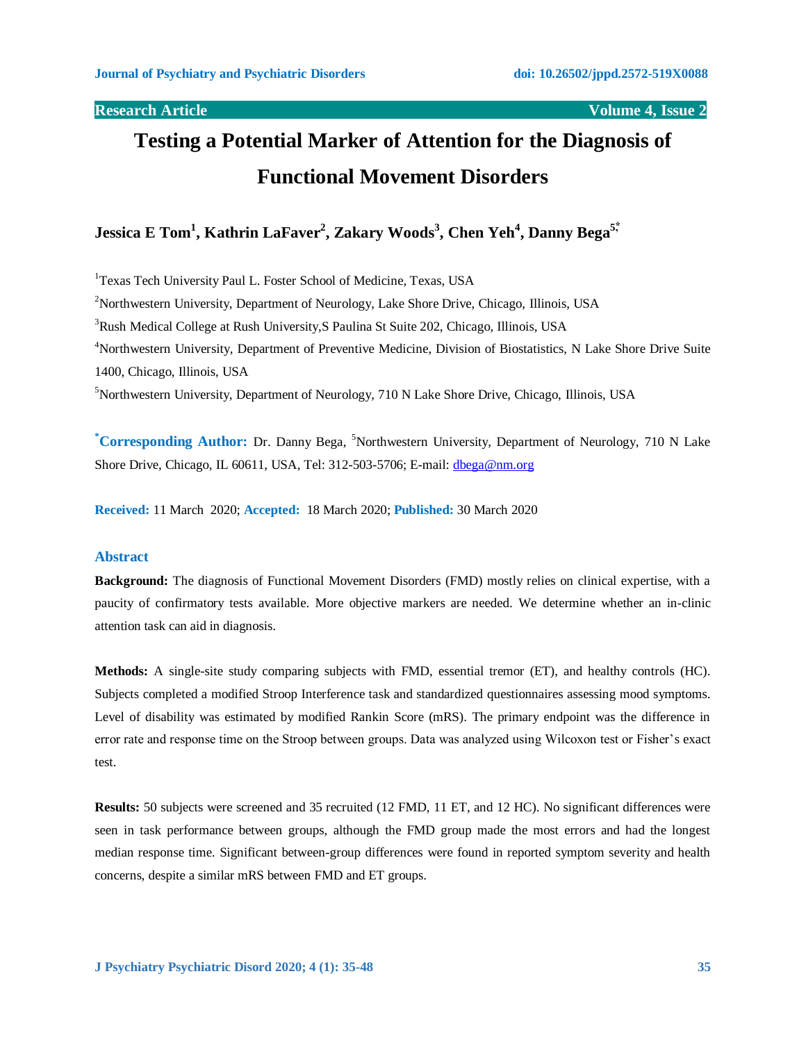**Research Article Volume 4, Issue 2**

# **Testing a Potential Marker of Attention for the Diagnosis of Functional Movement Disorders**

**Jessica E Tom<sup>1</sup> , Kathrin LaFaver<sup>2</sup> , Zakary Woods<sup>3</sup> , Chen Yeh<sup>4</sup> , Danny Bega5,⃰**

<sup>1</sup>Texas Tech University Paul L. Foster School of Medicine, Texas, USA <sup>2</sup>Northwestern University, Department of Neurology, Lake Shore Drive, Chicago, Illinois, USA <sup>3</sup>Rush Medical College at Rush University, S Paulina St Suite 202, Chicago, Illinois, USA <sup>4</sup>Northwestern University, Department of Preventive Medicine, Division of Biostatistics, N Lake Shore Drive Suite 1400, Chicago, Illinois, USA <sup>5</sup>Northwestern University, Department of Neurology, 710 N Lake Shore Drive, Chicago, Illinois, USA

**\*Corresponding Author:** Dr. Danny Bega, <sup>5</sup>Northwestern University, Department of Neurology, 710 N Lake Shore Drive, Chicago, IL 60611, USA, Tel: 312-503-5706; E-mail: [dbega@nm.org](mailto:dbega@nm.org)

**Received:** 11 March 2020; **Accepted:** 18 March 2020; **Published:** 30 March 2020

### **Abstract**

**Background:** The diagnosis of Functional Movement Disorders (FMD) mostly relies on clinical expertise, with a paucity of confirmatory tests available. More objective markers are needed. We determine whether an in-clinic attention task can aid in diagnosis.

**Methods:** A single-site study comparing subjects with FMD, essential tremor (ET), and healthy controls (HC). Subjects completed a modified Stroop Interference task and standardized questionnaires assessing mood symptoms. Level of disability was estimated by modified Rankin Score (mRS). The primary endpoint was the difference in error rate and response time on the Stroop between groups. Data was analyzed using Wilcoxon test or Fisher's exact test.

**Results:** 50 subjects were screened and 35 recruited (12 FMD, 11 ET, and 12 HC). No significant differences were seen in task performance between groups, although the FMD group made the most errors and had the longest median response time. Significant between-group differences were found in reported symptom severity and health concerns, despite a similar mRS between FMD and ET groups.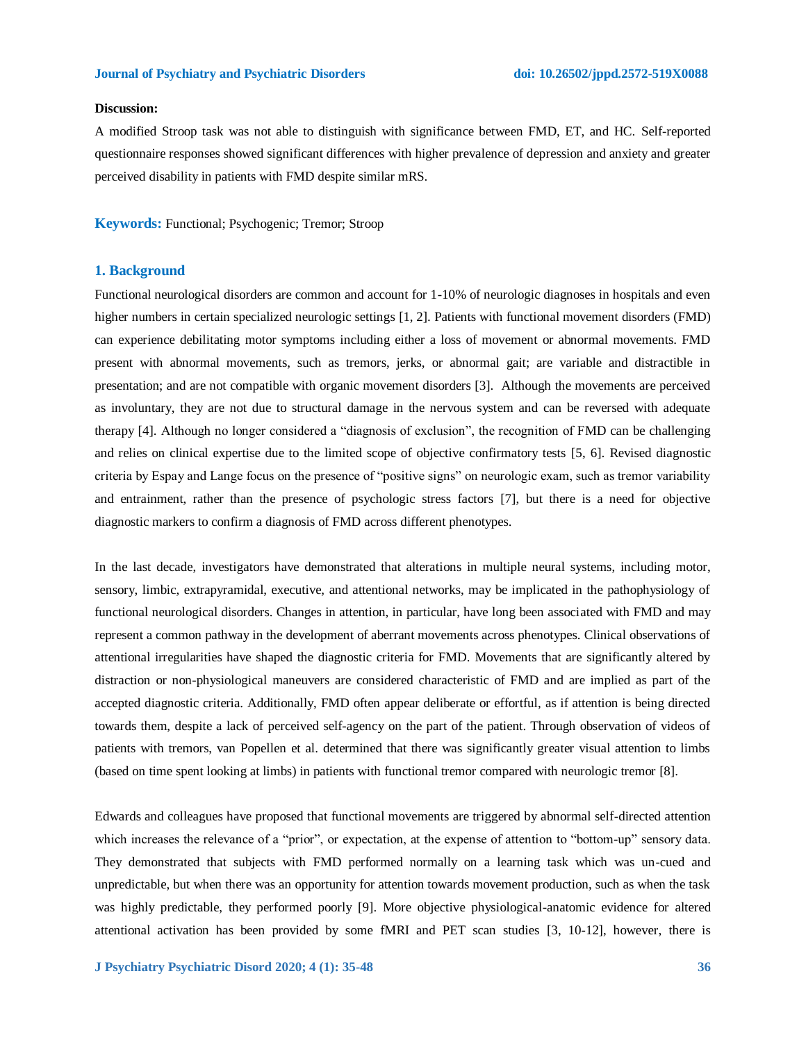### **Discussion:**

A modified Stroop task was not able to distinguish with significance between FMD, ET, and HC. Self-reported questionnaire responses showed significant differences with higher prevalence of depression and anxiety and greater perceived disability in patients with FMD despite similar mRS.

**Keywords:** Functional; Psychogenic; Tremor; Stroop

#### **1. Background**

Functional neurological disorders are common and account for 1-10% of neurologic diagnoses in hospitals and even higher numbers in certain specialized neurologic settings [1, 2]. Patients with functional movement disorders (FMD) can experience debilitating motor symptoms including either a loss of movement or abnormal movements. FMD present with abnormal movements, such as tremors, jerks, or abnormal gait; are variable and distractible in presentation; and are not compatible with organic movement disorders [3]. Although the movements are perceived as involuntary, they are not due to structural damage in the nervous system and can be reversed with adequate therapy [4]. Although no longer considered a "diagnosis of exclusion", the recognition of FMD can be challenging and relies on clinical expertise due to the limited scope of objective confirmatory tests [5, 6]. Revised diagnostic criteria by Espay and Lange focus on the presence of "positive signs" on neurologic exam, such as tremor variability and entrainment, rather than the presence of psychologic stress factors [7], but there is a need for objective diagnostic markers to confirm a diagnosis of FMD across different phenotypes.

In the last decade, investigators have demonstrated that alterations in multiple neural systems, including motor, sensory, limbic, extrapyramidal, executive, and attentional networks, may be implicated in the pathophysiology of functional neurological disorders. Changes in attention, in particular, have long been associated with FMD and may represent a common pathway in the development of aberrant movements across phenotypes. Clinical observations of attentional irregularities have shaped the diagnostic criteria for FMD. Movements that are significantly altered by distraction or non-physiological maneuvers are considered characteristic of FMD and are implied as part of the accepted diagnostic criteria. Additionally, FMD often appear deliberate or effortful, as if attention is being directed towards them, despite a lack of perceived self-agency on the part of the patient. Through observation of videos of patients with tremors, van Popellen et al. determined that there was significantly greater visual attention to limbs (based on time spent looking at limbs) in patients with functional tremor compared with neurologic tremor [8].

Edwards and colleagues have proposed that functional movements are triggered by abnormal self-directed attention which increases the relevance of a "prior", or expectation, at the expense of attention to "bottom-up" sensory data. They demonstrated that subjects with FMD performed normally on a learning task which was un-cued and unpredictable, but when there was an opportunity for attention towards movement production, such as when the task was highly predictable, they performed poorly [9]. More objective physiological-anatomic evidence for altered attentional activation has been provided by some fMRI and PET scan studies [3, 10-12], however, there is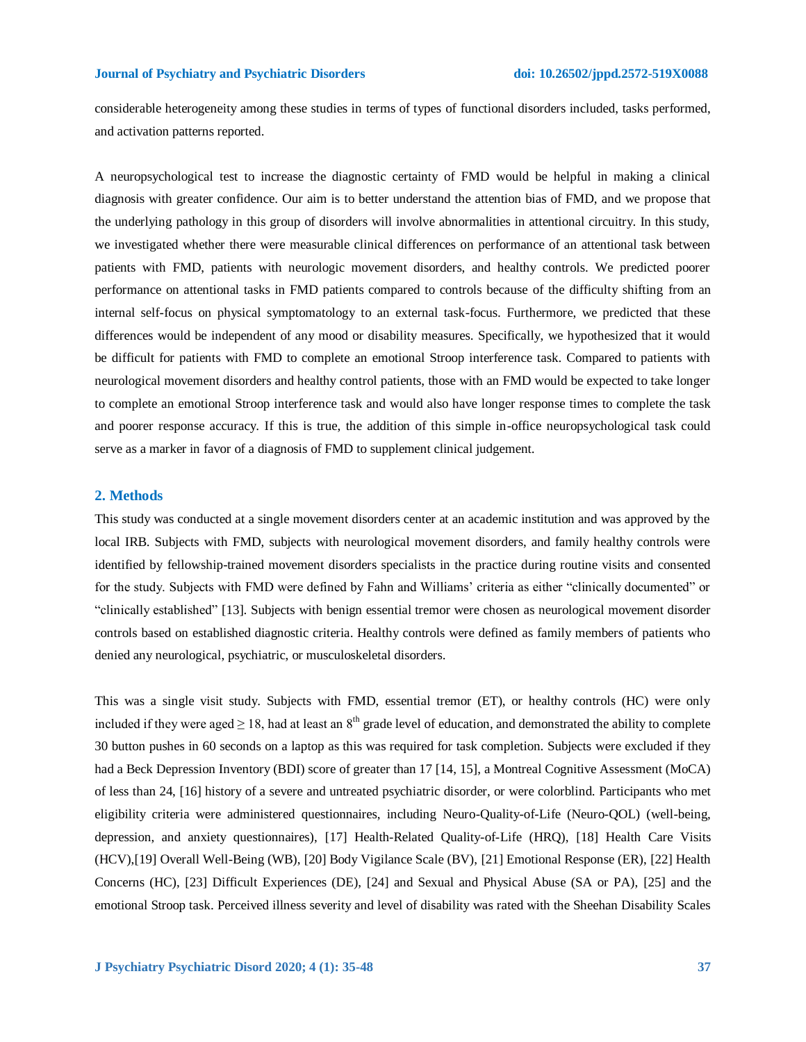considerable heterogeneity among these studies in terms of types of functional disorders included, tasks performed, and activation patterns reported.

A neuropsychological test to increase the diagnostic certainty of FMD would be helpful in making a clinical diagnosis with greater confidence. Our aim is to better understand the attention bias of FMD, and we propose that the underlying pathology in this group of disorders will involve abnormalities in attentional circuitry. In this study, we investigated whether there were measurable clinical differences on performance of an attentional task between patients with FMD, patients with neurologic movement disorders, and healthy controls. We predicted poorer performance on attentional tasks in FMD patients compared to controls because of the difficulty shifting from an internal self-focus on physical symptomatology to an external task-focus. Furthermore, we predicted that these differences would be independent of any mood or disability measures. Specifically, we hypothesized that it would be difficult for patients with FMD to complete an emotional Stroop interference task. Compared to patients with neurological movement disorders and healthy control patients, those with an FMD would be expected to take longer to complete an emotional Stroop interference task and would also have longer response times to complete the task and poorer response accuracy. If this is true, the addition of this simple in-office neuropsychological task could serve as a marker in favor of a diagnosis of FMD to supplement clinical judgement.

#### **2. Methods**

This study was conducted at a single movement disorders center at an academic institution and was approved by the local IRB. Subjects with FMD, subjects with neurological movement disorders, and family healthy controls were identified by fellowship-trained movement disorders specialists in the practice during routine visits and consented for the study. Subjects with FMD were defined by Fahn and Williams' criteria as either "clinically documented" or "clinically established" [13]. Subjects with benign essential tremor were chosen as neurological movement disorder controls based on established diagnostic criteria. Healthy controls were defined as family members of patients who denied any neurological, psychiatric, or musculoskeletal disorders.

This was a single visit study. Subjects with FMD, essential tremor (ET), or healthy controls (HC) were only included if they were aged  $\geq 18$ , had at least an  $8<sup>th</sup>$  grade level of education, and demonstrated the ability to complete 30 button pushes in 60 seconds on a laptop as this was required for task completion. Subjects were excluded if they had a Beck Depression Inventory (BDI) score of greater than 17 [14, 15], a Montreal Cognitive Assessment (MoCA) of less than 24, [16] history of a severe and untreated psychiatric disorder, or were colorblind. Participants who met eligibility criteria were administered questionnaires, including Neuro-Quality-of-Life (Neuro-QOL) (well-being, depression, and anxiety questionnaires), [17] Health-Related Quality-of-Life (HRQ), [18] Health Care Visits (HCV),[19] Overall Well-Being (WB), [20] Body Vigilance Scale (BV), [21] Emotional Response (ER), [22] Health Concerns (HC), [23] Difficult Experiences (DE), [24] and Sexual and Physical Abuse (SA or PA), [25] and the emotional Stroop task. Perceived illness severity and level of disability was rated with the Sheehan Disability Scales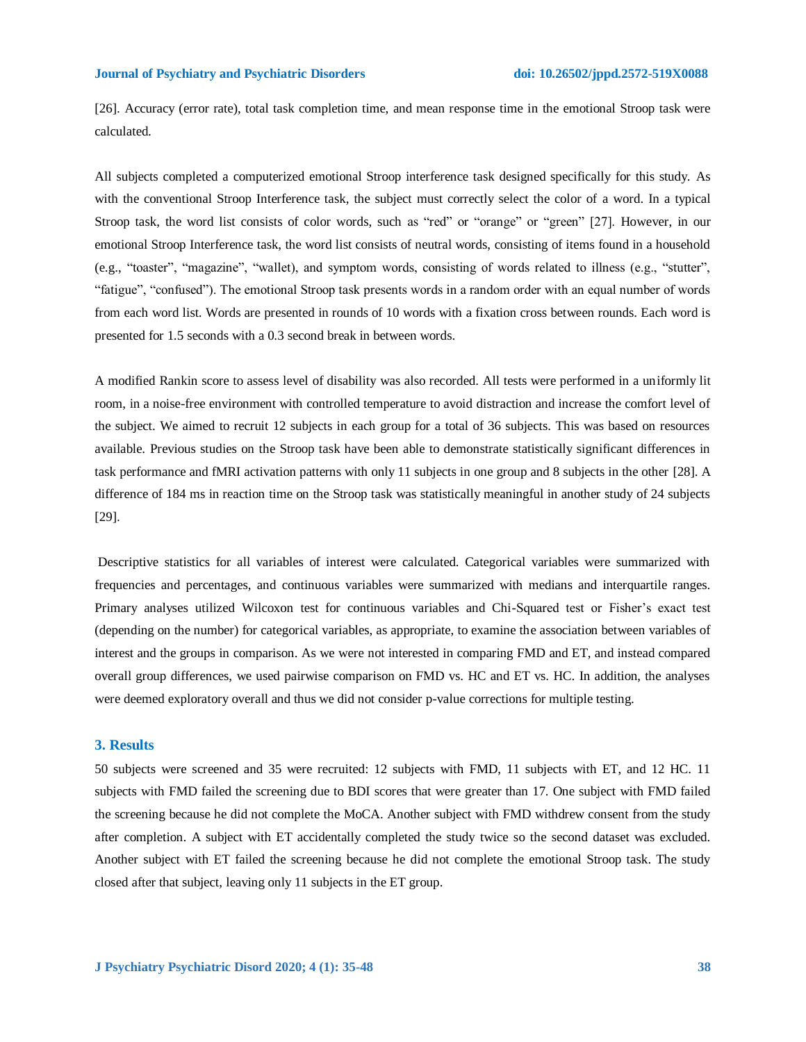[26]. Accuracy (error rate), total task completion time, and mean response time in the emotional Stroop task were calculated.

All subjects completed a computerized emotional Stroop interference task designed specifically for this study. As with the conventional Stroop Interference task, the subject must correctly select the color of a word. In a typical Stroop task, the word list consists of color words, such as "red" or "orange" or "green" [27]. However, in our emotional Stroop Interference task, the word list consists of neutral words, consisting of items found in a household (e.g., "toaster", "magazine", "wallet), and symptom words, consisting of words related to illness (e.g., "stutter", "fatigue", "confused"). The emotional Stroop task presents words in a random order with an equal number of words from each word list. Words are presented in rounds of 10 words with a fixation cross between rounds. Each word is presented for 1.5 seconds with a 0.3 second break in between words.

A modified Rankin score to assess level of disability was also recorded. All tests were performed in a uniformly lit room, in a noise-free environment with controlled temperature to avoid distraction and increase the comfort level of the subject. We aimed to recruit 12 subjects in each group for a total of 36 subjects. This was based on resources available. Previous studies on the Stroop task have been able to demonstrate statistically significant differences in task performance and fMRI activation patterns with only 11 subjects in one group and 8 subjects in the other [28]. A difference of 184 ms in reaction time on the Stroop task was statistically meaningful in another study of 24 subjects [29].

Descriptive statistics for all variables of interest were calculated. Categorical variables were summarized with frequencies and percentages, and continuous variables were summarized with medians and interquartile ranges. Primary analyses utilized Wilcoxon test for continuous variables and Chi-Squared test or Fisher's exact test (depending on the number) for categorical variables, as appropriate, to examine the association between variables of interest and the groups in comparison. As we were not interested in comparing FMD and ET, and instead compared overall group differences, we used pairwise comparison on FMD vs. HC and ET vs. HC. In addition, the analyses were deemed exploratory overall and thus we did not consider p-value corrections for multiple testing.

#### **3. Results**

50 subjects were screened and 35 were recruited: 12 subjects with FMD, 11 subjects with ET, and 12 HC. 11 subjects with FMD failed the screening due to BDI scores that were greater than 17. One subject with FMD failed the screening because he did not complete the MoCA. Another subject with FMD withdrew consent from the study after completion. A subject with ET accidentally completed the study twice so the second dataset was excluded. Another subject with ET failed the screening because he did not complete the emotional Stroop task. The study closed after that subject, leaving only 11 subjects in the ET group.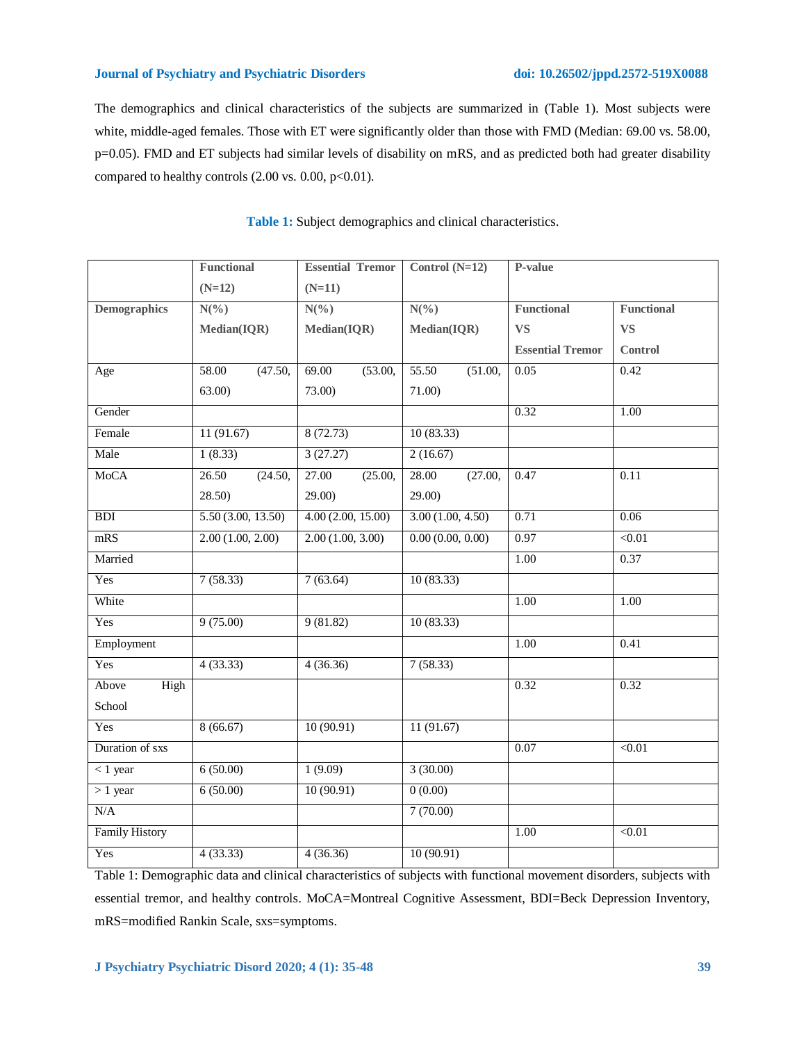The demographics and clinical characteristics of the subjects are summarized in (Table 1). Most subjects were white, middle-aged females. Those with ET were significantly older than those with FMD (Median: 69.00 vs. 58.00, p=0.05). FMD and ET subjects had similar levels of disability on mRS, and as predicted both had greater disability compared to healthy controls  $(2.00 \text{ vs. } 0.00, \text{ p} < 0.01)$ .

|                       | <b>Functional</b> | <b>Essential Tremor</b> | Control $(N=12)$ | P-value                 |                   |
|-----------------------|-------------------|-------------------------|------------------|-------------------------|-------------------|
|                       | $(N=12)$          | $(N=11)$                |                  |                         |                   |
| <b>Demographics</b>   | $N(\%)$           | $N(\%)$                 | $N(\%)$          | Functional              | <b>Functional</b> |
|                       | Median(IQR)       | Median(IQR)             | Median(IQR)      | <b>VS</b>               | <b>VS</b>         |
|                       |                   |                         |                  | <b>Essential Tremor</b> | Control           |
| Age                   | 58.00<br>(47.50,  | 69.00<br>(53.00,        | 55.50<br>(51.00, | 0.05                    | 0.42              |
|                       | 63.00)            | 73.00)                  | 71.00)           |                         |                   |
| Gender                |                   |                         |                  | 0.32                    | $\overline{1.00}$ |
| Female                | 11(91.67)         | 8(72.73)                | 10(83.33)        |                         |                   |
| Male                  | 1(8.33)           | 3(27.27)                | 2(16.67)         |                         |                   |
| <b>MoCA</b>           | 26.50<br>(24.50,  | (25.00,<br>27.00        | 28.00<br>(27.00, | 0.47                    | 0.11              |
|                       | 28.50)            | 29.00)                  | 29.00)           |                         |                   |
| BDI                   | 5.50(3.00, 13.50) | 4.00(2.00, 15.00)       | 3.00(1.00, 4.50) | 0.71                    | 0.06              |
| mRS                   | 2.00(1.00, 2.00)  | 2.00(1.00, 3.00)        | 0.00(0.00, 0.00) | 0.97                    | < 0.01            |
| Married               |                   |                         |                  | 1.00                    | 0.37              |
| Yes                   | 7(58.33)          | 7(63.64)                | 10(83.33)        |                         |                   |
| White                 |                   |                         |                  | 1.00                    | 1.00              |
| Yes                   | 9(75.00)          | 9(81.82)                | 10(83.33)        |                         |                   |
| Employment            |                   |                         |                  | 1.00                    | 0.41              |
| Yes                   | 4(33.33)          | 4(36.36)                | 7(58.33)         |                         |                   |
| Above<br>High         |                   |                         |                  | 0.32                    | 0.32              |
| School                |                   |                         |                  |                         |                   |
| Yes                   | 8(66.67)          | 10(90.91)               | 11(91.67)        |                         |                   |
| Duration of sxs       |                   |                         |                  | 0.07                    | < 0.01            |
| $< 1$ year            | 6(50.00)          | 1(9.09)                 | 3(30.00)         |                         |                   |
| $>1$ year             | 6(50.00)          | 10(90.91)               | 0(0.00)          |                         |                   |
| N/A                   |                   |                         | 7(70.00)         |                         |                   |
| <b>Family History</b> |                   |                         |                  | 1.00                    | < 0.01            |
| Yes                   | 4(33.33)          | 4(36.36)                | 10(90.91)        |                         |                   |

**Table 1:** Subject demographics and clinical characteristics.

Table 1: Demographic data and clinical characteristics of subjects with functional movement disorders, subjects with essential tremor, and healthy controls. MoCA=Montreal Cognitive Assessment, BDI=Beck Depression Inventory, mRS=modified Rankin Scale, sxs=symptoms.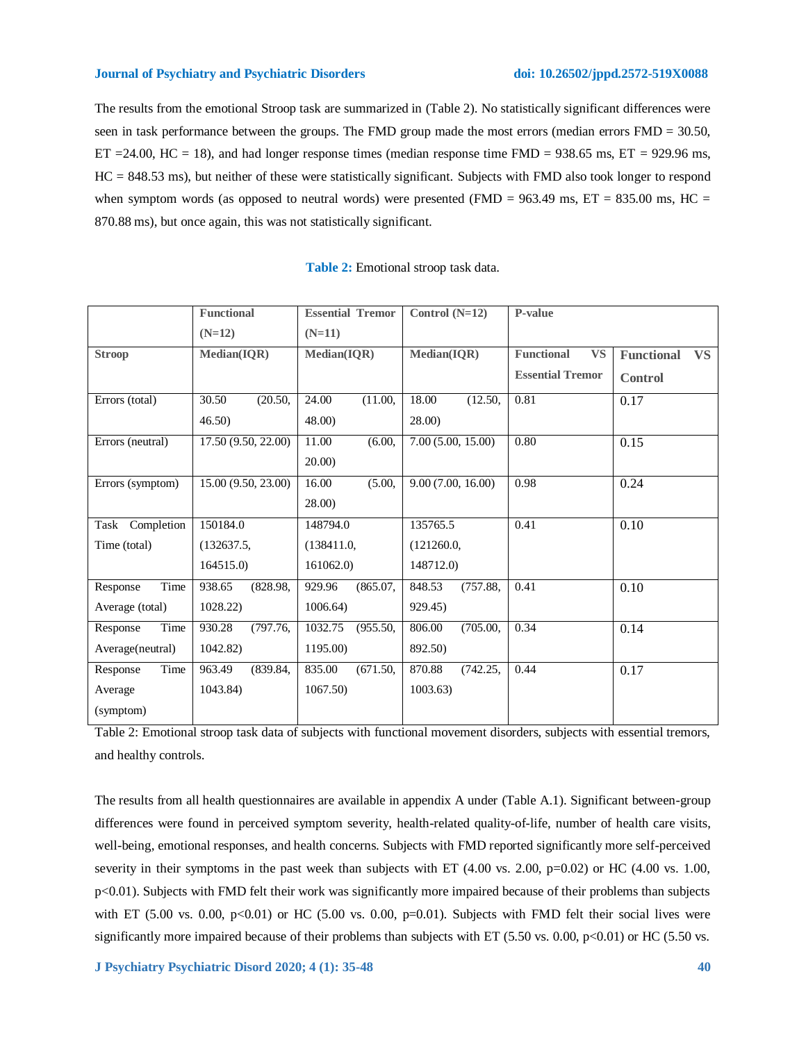The results from the emotional Stroop task are summarized in (Table 2). No statistically significant differences were seen in task performance between the groups. The FMD group made the most errors (median errors FMD = 30.50, ET = 24.00, HC = 18), and had longer response times (median response time FMD =  $938.65$  ms, ET =  $929.96$  ms, HC = 848.53 ms), but neither of these were statistically significant. Subjects with FMD also took longer to respond when symptom words (as opposed to neutral words) were presented (FMD =  $963.49$  ms, ET =  $835.00$  ms, HC = 870.88 ms), but once again, this was not statistically significant.

|                    | <b>Functional</b>   | <b>Essential Tremor</b> | Control $(N=12)$   | P-value                        |                                |
|--------------------|---------------------|-------------------------|--------------------|--------------------------------|--------------------------------|
|                    | $(N=12)$            | $(N=11)$                |                    |                                |                                |
| <b>Stroop</b>      | Median(IQR)         | Median(IQR)             | Median(IQR)        | <b>Functional</b><br><b>VS</b> | <b>Functional</b><br><b>VS</b> |
|                    |                     |                         |                    | <b>Essential Tremor</b>        | <b>Control</b>                 |
| Errors (total)     | 30.50<br>(20.50,    | 24.00<br>(11.00,        | 18.00<br>(12.50,   | 0.81                           | 0.17                           |
|                    | 46.50               | 48.00                   | 28.00)             |                                |                                |
| Errors (neutral)   | 17.50 (9.50, 22.00) | 11.00<br>(6.00,         | 7.00(5.00, 15.00)  | 0.80                           | 0.15                           |
|                    |                     | 20.00)                  |                    |                                |                                |
| Errors (symptom)   | 15.00 (9.50, 23.00) | 16.00<br>(5.00,         | 9.00(7.00, 16.00)  | 0.98                           | 0.24                           |
|                    |                     | 28.00)                  |                    |                                |                                |
| Completion<br>Task | 150184.0            | 148794.0                | 135765.5           | 0.41                           | 0.10                           |
| Time (total)       | (132637.5,          | (138411.0,              | (121260.0,         |                                |                                |
|                    | 164515.0)           | 161062.0)               | 148712.0)          |                                |                                |
| Time<br>Response   | 938.65<br>(828.98,  | (865.07,<br>929.96      | 848.53<br>(757.88, | 0.41                           | 0.10                           |
| Average (total)    | 1028.22)            | 1006.64                 | 929.45)            |                                |                                |
| Time<br>Response   | 930.28<br>(797.76,  | 1032.75<br>(955.50,     | 806.00<br>(705.00, | 0.34                           | 0.14                           |
| Average(neutral)   | 1042.82)            | 1195.00)                | 892.50)            |                                |                                |
| Time<br>Response   | 963.49<br>(839.84,  | 835.00<br>(671.50,      | 870.88<br>(742.25, | 0.44                           | 0.17                           |
| Average            | 1043.84)            | 1067.50)                | 1003.63)           |                                |                                |
| (symptom)          |                     |                         |                    |                                |                                |

| Table 2: Emotional stroop task data. |  |  |
|--------------------------------------|--|--|
|--------------------------------------|--|--|

Table 2: Emotional stroop task data of subjects with functional movement disorders, subjects with essential tremors, and healthy controls.

The results from all health questionnaires are available in appendix A under (Table A.1). Significant between-group differences were found in perceived symptom severity, health-related quality-of-life, number of health care visits, well-being, emotional responses, and health concerns. Subjects with FMD reported significantly more self-perceived severity in their symptoms in the past week than subjects with ET (4.00 vs. 2.00, p=0.02) or HC (4.00 vs. 1.00, p<0.01). Subjects with FMD felt their work was significantly more impaired because of their problems than subjects with ET (5.00 vs. 0.00,  $p<0.01$ ) or HC (5.00 vs. 0.00,  $p=0.01$ ). Subjects with FMD felt their social lives were significantly more impaired because of their problems than subjects with ET (5.50 vs. 0.00, p<0.01) or HC (5.50 vs.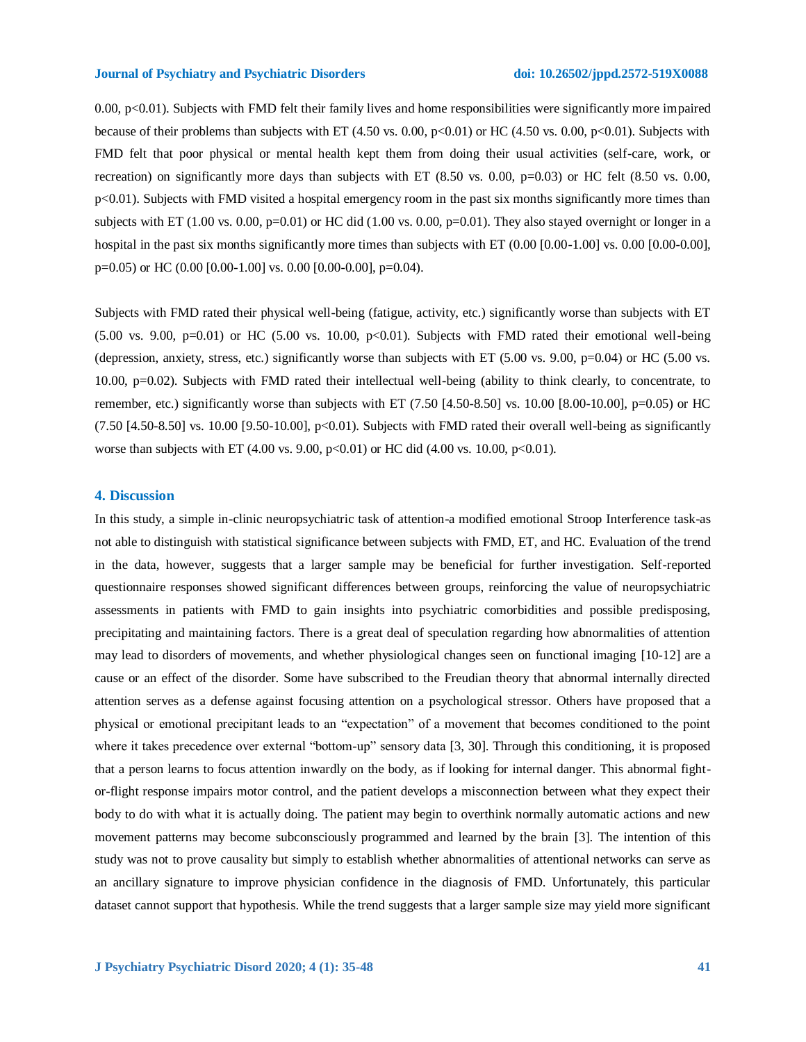0.00,  $p<0.01$ ). Subjects with FMD felt their family lives and home responsibilities were significantly more impaired because of their problems than subjects with ET (4.50 vs. 0.00, p<0.01) or HC (4.50 vs. 0.00, p<0.01). Subjects with FMD felt that poor physical or mental health kept them from doing their usual activities (self-care, work, or recreation) on significantly more days than subjects with ET  $(8.50 \text{ vs. } 0.00, \text{ p}=0.03)$  or HC felt  $(8.50 \text{ vs. } 0.00, \text{ p}=0.03)$ p<0.01). Subjects with FMD visited a hospital emergency room in the past six months significantly more times than subjects with ET (1.00 vs. 0.00, p=0.01) or HC did (1.00 vs. 0.00, p=0.01). They also stayed overnight or longer in a hospital in the past six months significantly more times than subjects with ET (0.00 [0.00-1.00] vs. 0.00 [0.00-0.00],  $p=0.05$ ) or HC (0.00 [0.00-1.00] vs. 0.00 [0.00-0.00],  $p=0.04$ ).

Subjects with FMD rated their physical well-being (fatigue, activity, etc.) significantly worse than subjects with ET  $(5.00 \text{ vs. } 9.00, \text{ p=0.01})$  or HC  $(5.00 \text{ vs. } 10.00, \text{ p<0.01})$ . Subjects with FMD rated their emotional well-being (depression, anxiety, stress, etc.) significantly worse than subjects with ET (5.00 vs. 9.00, p=0.04) or HC (5.00 vs. 10.00, p=0.02). Subjects with FMD rated their intellectual well-being (ability to think clearly, to concentrate, to remember, etc.) significantly worse than subjects with ET  $(7.50 \, \text{[}4.50 \, \text{-}8.50]$  vs. 10.00  $\, \text{[}8.00 \, \text{-}10.00 \, \text{]}, \text{p=0.05}$  or HC  $(7.50 \text{ } [4.50-8.50] \text{ vs. } 10.00 \text{ } [9.50-10.00], \text{ p} < 0.01)$ . Subjects with FMD rated their overall well-being as significantly worse than subjects with ET (4.00 vs. 9.00, p<0.01) or HC did (4.00 vs. 10.00, p<0.01).

#### **4. Discussion**

In this study, a simple in-clinic neuropsychiatric task of attention-a modified emotional Stroop Interference task-as not able to distinguish with statistical significance between subjects with FMD, ET, and HC. Evaluation of the trend in the data, however, suggests that a larger sample may be beneficial for further investigation. Self-reported questionnaire responses showed significant differences between groups, reinforcing the value of neuropsychiatric assessments in patients with FMD to gain insights into psychiatric comorbidities and possible predisposing, precipitating and maintaining factors. There is a great deal of speculation regarding how abnormalities of attention may lead to disorders of movements, and whether physiological changes seen on functional imaging [10-12] are a cause or an effect of the disorder. Some have subscribed to the Freudian theory that abnormal internally directed attention serves as a defense against focusing attention on a psychological stressor. Others have proposed that a physical or emotional precipitant leads to an "expectation" of a movement that becomes conditioned to the point where it takes precedence over external "bottom-up" sensory data [3, 30]. Through this conditioning, it is proposed that a person learns to focus attention inwardly on the body, as if looking for internal danger. This abnormal fightor-flight response impairs motor control, and the patient develops a misconnection between what they expect their body to do with what it is actually doing. The patient may begin to overthink normally automatic actions and new movement patterns may become subconsciously programmed and learned by the brain [3]. The intention of this study was not to prove causality but simply to establish whether abnormalities of attentional networks can serve as an ancillary signature to improve physician confidence in the diagnosis of FMD. Unfortunately, this particular dataset cannot support that hypothesis. While the trend suggests that a larger sample size may yield more significant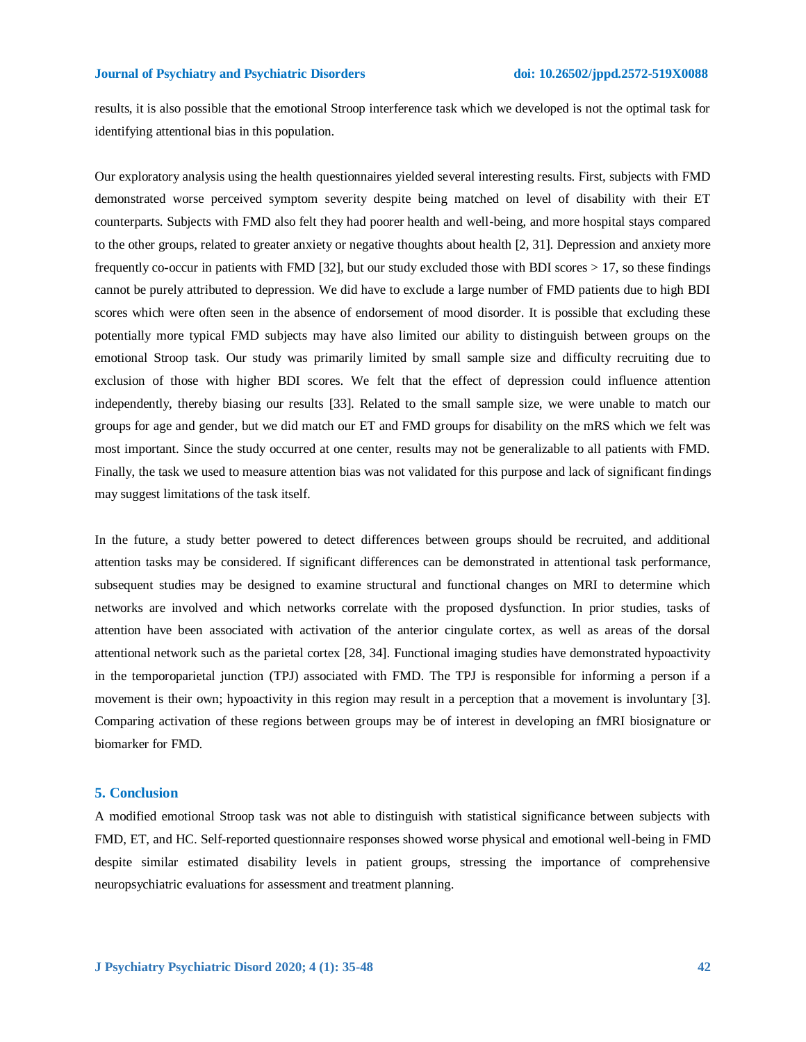results, it is also possible that the emotional Stroop interference task which we developed is not the optimal task for identifying attentional bias in this population.

Our exploratory analysis using the health questionnaires yielded several interesting results. First, subjects with FMD demonstrated worse perceived symptom severity despite being matched on level of disability with their ET counterparts. Subjects with FMD also felt they had poorer health and well-being, and more hospital stays compared to the other groups, related to greater anxiety or negative thoughts about health [2, 31]. Depression and anxiety more frequently co-occur in patients with FMD [32], but our study excluded those with BDI scores > 17, so these findings cannot be purely attributed to depression. We did have to exclude a large number of FMD patients due to high BDI scores which were often seen in the absence of endorsement of mood disorder. It is possible that excluding these potentially more typical FMD subjects may have also limited our ability to distinguish between groups on the emotional Stroop task. Our study was primarily limited by small sample size and difficulty recruiting due to exclusion of those with higher BDI scores. We felt that the effect of depression could influence attention independently, thereby biasing our results [33]. Related to the small sample size, we were unable to match our groups for age and gender, but we did match our ET and FMD groups for disability on the mRS which we felt was most important. Since the study occurred at one center, results may not be generalizable to all patients with FMD. Finally, the task we used to measure attention bias was not validated for this purpose and lack of significant findings may suggest limitations of the task itself.

In the future, a study better powered to detect differences between groups should be recruited, and additional attention tasks may be considered. If significant differences can be demonstrated in attentional task performance, subsequent studies may be designed to examine structural and functional changes on MRI to determine which networks are involved and which networks correlate with the proposed dysfunction. In prior studies, tasks of attention have been associated with activation of the anterior cingulate cortex, as well as areas of the dorsal attentional network such as the parietal cortex [28, 34]. Functional imaging studies have demonstrated hypoactivity in the temporoparietal junction (TPJ) associated with FMD. The TPJ is responsible for informing a person if a movement is their own; hypoactivity in this region may result in a perception that a movement is involuntary [3]. Comparing activation of these regions between groups may be of interest in developing an fMRI biosignature or biomarker for FMD.

#### **5. Conclusion**

A modified emotional Stroop task was not able to distinguish with statistical significance between subjects with FMD, ET, and HC. Self-reported questionnaire responses showed worse physical and emotional well-being in FMD despite similar estimated disability levels in patient groups, stressing the importance of comprehensive neuropsychiatric evaluations for assessment and treatment planning.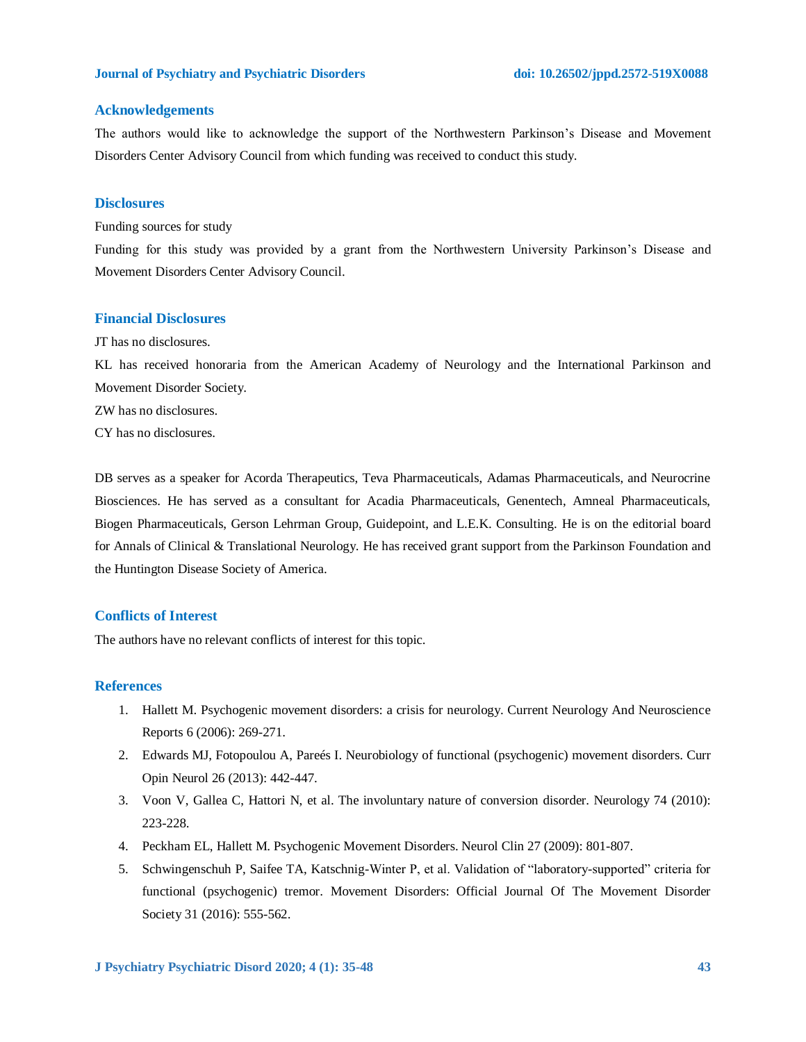#### **Acknowledgements**

The authors would like to acknowledge the support of the Northwestern Parkinson's Disease and Movement Disorders Center Advisory Council from which funding was received to conduct this study.

#### **Disclosures**

Funding sources for study

Funding for this study was provided by a grant from the Northwestern University Parkinson's Disease and Movement Disorders Center Advisory Council.

### **Financial Disclosures**

JT has no disclosures.

KL has received honoraria from the American Academy of Neurology and the International Parkinson and Movement Disorder Society.

ZW has no disclosures.

CY has no disclosures.

DB serves as a speaker for Acorda Therapeutics, Teva Pharmaceuticals, Adamas Pharmaceuticals, and Neurocrine Biosciences. He has served as a consultant for Acadia Pharmaceuticals, Genentech, Amneal Pharmaceuticals, Biogen Pharmaceuticals, Gerson Lehrman Group, Guidepoint, and L.E.K. Consulting. He is on the editorial board for Annals of Clinical & Translational Neurology. He has received grant support from the Parkinson Foundation and the Huntington Disease Society of America.

## **Conflicts of Interest**

The authors have no relevant conflicts of interest for this topic.

#### **References**

- 1. Hallett M. Psychogenic movement disorders: a crisis for neurology. Current Neurology And Neuroscience Reports 6 (2006): 269-271.
- 2. Edwards MJ, Fotopoulou A, Pareés I. Neurobiology of functional (psychogenic) movement disorders. Curr Opin Neurol 26 (2013): 442-447.
- 3. Voon V, Gallea C, Hattori N, et al. The involuntary nature of conversion disorder. Neurology 74 (2010): 223-228.
- 4. Peckham EL, Hallett M. Psychogenic Movement Disorders. Neurol Clin 27 (2009): 801-807.
- 5. Schwingenschuh P, Saifee TA, Katschnig-Winter P, et al. Validation of "laboratory-supported" criteria for functional (psychogenic) tremor. Movement Disorders: Official Journal Of The Movement Disorder Society 31 (2016): 555-562.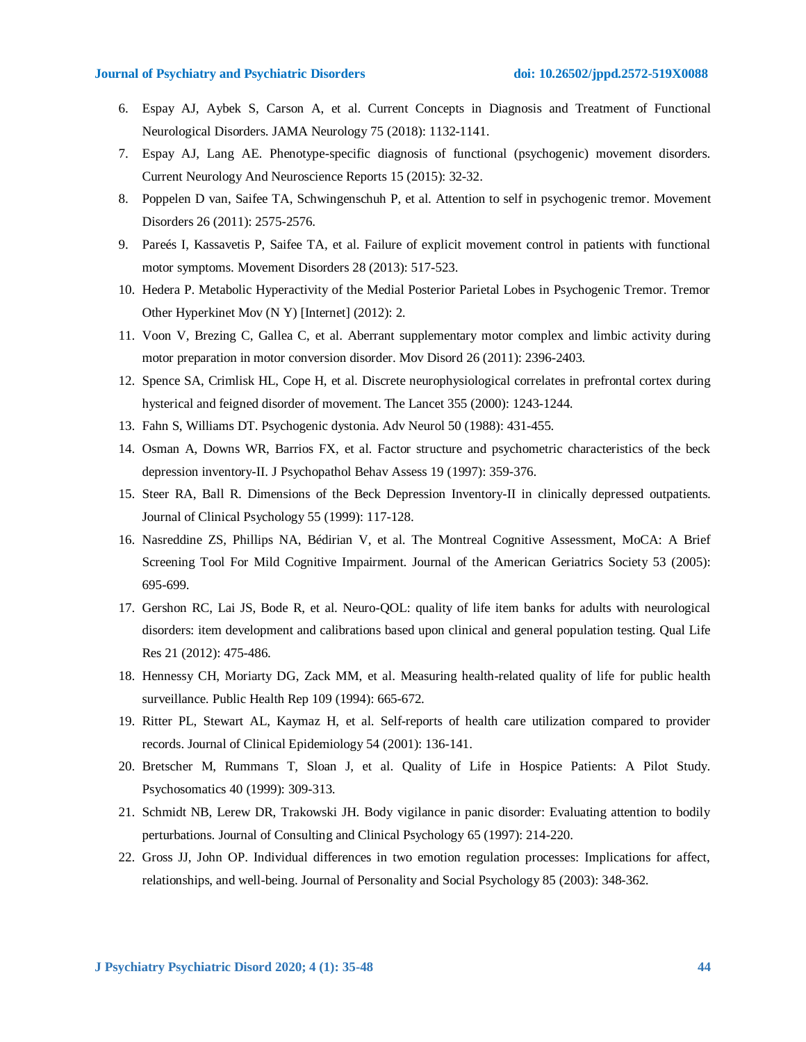- 6. Espay AJ, Aybek S, Carson A, et al. Current Concepts in Diagnosis and Treatment of Functional Neurological Disorders. JAMA Neurology 75 (2018): 1132-1141.
- 7. Espay AJ, Lang AE. Phenotype-specific diagnosis of functional (psychogenic) movement disorders. Current Neurology And Neuroscience Reports 15 (2015): 32-32.
- 8. Poppelen D van, Saifee TA, Schwingenschuh P, et al. Attention to self in psychogenic tremor. Movement Disorders 26 (2011): 2575-2576.
- 9. Pareés I, Kassavetis P, Saifee TA, et al. Failure of explicit movement control in patients with functional motor symptoms. Movement Disorders 28 (2013): 517-523.
- 10. Hedera P. Metabolic Hyperactivity of the Medial Posterior Parietal Lobes in Psychogenic Tremor. Tremor Other Hyperkinet Mov (N Y) [Internet] (2012): 2.
- 11. Voon V, Brezing C, Gallea C, et al. Aberrant supplementary motor complex and limbic activity during motor preparation in motor conversion disorder. Mov Disord 26 (2011): 2396-2403.
- 12. Spence SA, Crimlisk HL, Cope H, et al. Discrete neurophysiological correlates in prefrontal cortex during hysterical and feigned disorder of movement. The Lancet 355 (2000): 1243-1244.
- 13. Fahn S, Williams DT. Psychogenic dystonia. Adv Neurol 50 (1988): 431-455.
- 14. Osman A, Downs WR, Barrios FX, et al. Factor structure and psychometric characteristics of the beck depression inventory-II. J Psychopathol Behav Assess 19 (1997): 359-376.
- 15. Steer RA, Ball R. Dimensions of the Beck Depression Inventory-II in clinically depressed outpatients. Journal of Clinical Psychology 55 (1999): 117-128.
- 16. Nasreddine ZS, Phillips NA, Bédirian V, et al. The Montreal Cognitive Assessment, MoCA: A Brief Screening Tool For Mild Cognitive Impairment. Journal of the American Geriatrics Society 53 (2005): 695-699.
- 17. Gershon RC, Lai JS, Bode R, et al. Neuro-QOL: quality of life item banks for adults with neurological disorders: item development and calibrations based upon clinical and general population testing. Qual Life Res 21 (2012): 475-486.
- 18. Hennessy CH, Moriarty DG, Zack MM, et al. Measuring health-related quality of life for public health surveillance. Public Health Rep 109 (1994): 665-672.
- 19. Ritter PL, Stewart AL, Kaymaz H, et al. Self-reports of health care utilization compared to provider records. Journal of Clinical Epidemiology 54 (2001): 136-141.
- 20. Bretscher M, Rummans T, Sloan J, et al. Quality of Life in Hospice Patients: A Pilot Study. Psychosomatics 40 (1999): 309-313.
- 21. Schmidt NB, Lerew DR, Trakowski JH. Body vigilance in panic disorder: Evaluating attention to bodily perturbations. Journal of Consulting and Clinical Psychology 65 (1997): 214-220.
- 22. Gross JJ, John OP. Individual differences in two emotion regulation processes: Implications for affect, relationships, and well-being. Journal of Personality and Social Psychology 85 (2003): 348-362.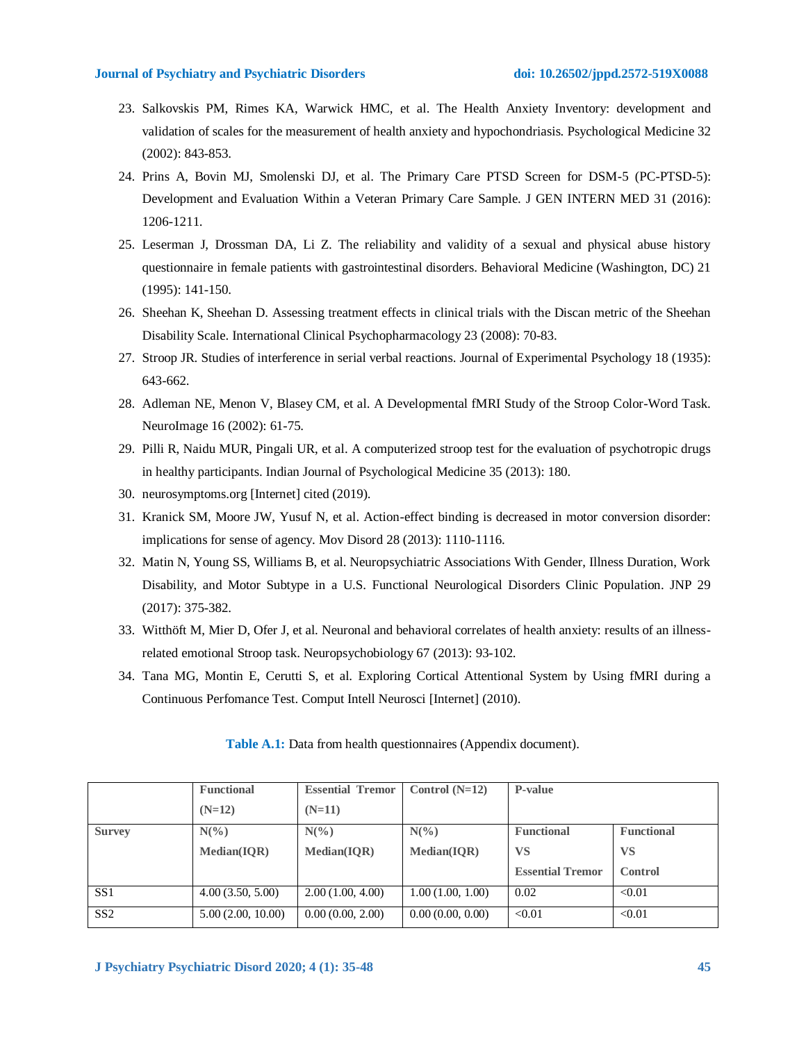- 23. Salkovskis PM, Rimes KA, Warwick HMC, et al. The Health Anxiety Inventory: development and validation of scales for the measurement of health anxiety and hypochondriasis. Psychological Medicine 32 (2002): 843-853.
- 24. Prins A, Bovin MJ, Smolenski DJ, et al. The Primary Care PTSD Screen for DSM-5 (PC-PTSD-5): Development and Evaluation Within a Veteran Primary Care Sample. J GEN INTERN MED 31 (2016): 1206-1211.
- 25. Leserman J, Drossman DA, Li Z. The reliability and validity of a sexual and physical abuse history questionnaire in female patients with gastrointestinal disorders. Behavioral Medicine (Washington, DC) 21 (1995): 141-150.
- 26. Sheehan K, Sheehan D. Assessing treatment effects in clinical trials with the Discan metric of the Sheehan Disability Scale. International Clinical Psychopharmacology 23 (2008): 70-83.
- 27. Stroop JR. Studies of interference in serial verbal reactions. Journal of Experimental Psychology 18 (1935): 643-662.
- 28. Adleman NE, Menon V, Blasey CM, et al. A Developmental fMRI Study of the Stroop Color-Word Task. NeuroImage 16 (2002): 61-75.
- 29. Pilli R, Naidu MUR, Pingali UR, et al. A computerized stroop test for the evaluation of psychotropic drugs in healthy participants. Indian Journal of Psychological Medicine 35 (2013): 180.
- 30. neurosymptoms.org [Internet] cited (2019).
- 31. Kranick SM, Moore JW, Yusuf N, et al. Action-effect binding is decreased in motor conversion disorder: implications for sense of agency. Mov Disord 28 (2013): 1110-1116.
- 32. Matin N, Young SS, Williams B, et al. Neuropsychiatric Associations With Gender, Illness Duration, Work Disability, and Motor Subtype in a U.S. Functional Neurological Disorders Clinic Population. JNP 29 (2017): 375-382.
- 33. Witthöft M, Mier D, Ofer J, et al. Neuronal and behavioral correlates of health anxiety: results of an illnessrelated emotional Stroop task. Neuropsychobiology 67 (2013): 93-102.
- 34. Tana MG, Montin E, Cerutti S, et al. Exploring Cortical Attentional System by Using fMRI during a Continuous Perfomance Test. Comput Intell Neurosci [Internet] (2010).

|               | <b>Functional</b>  | <b>Essential Tremor</b> | Control $(N=12)$ | P-value                 |                   |
|---------------|--------------------|-------------------------|------------------|-------------------------|-------------------|
|               | $(N=12)$           | $(N=11)$                |                  |                         |                   |
| <b>Survey</b> | $N\binom{0}{0}$    | $N(\%)$                 | $N\binom{0}{0}$  | <b>Functional</b>       | <b>Functional</b> |
|               | <b>Median(IOR)</b> | Median(IOR)             | Median(IOR)      | VS                      | <b>VS</b>         |
|               |                    |                         |                  | <b>Essential Tremor</b> | Control           |
| SS1           | 4.00(3.50, 5.00)   | 2.00(1.00, 4.00)        | 1.00(1.00, 1.00) | 0.02                    | < 0.01            |
| SS2           | 5.00(2.00, 10.00)  | 0.00(0.00, 2.00)        | 0.00(0.00, 0.00) | < 0.01                  | < 0.01            |

**Table A.1:** Data from health questionnaires (Appendix document).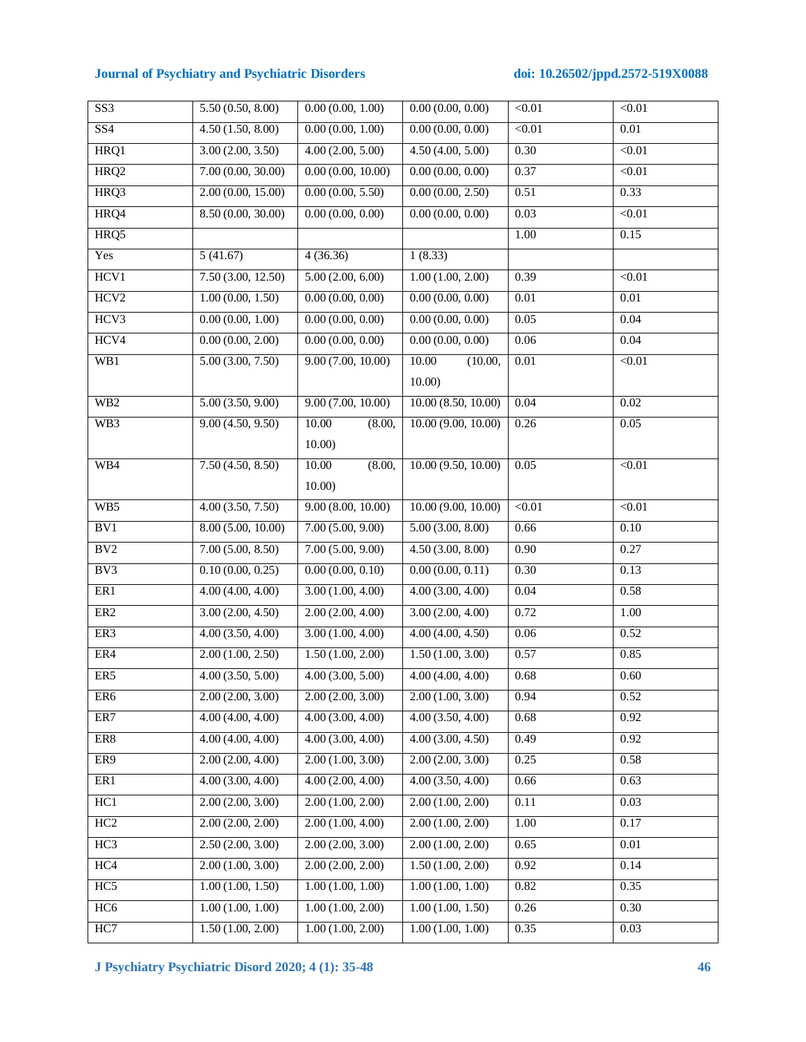| SS <sub>3</sub>  | 5.50(0.50, 8.00)  | 0.00(0.00, 1.00)  | 0.00(0.00, 0.00)   | < 0.01        | < 0.01        |
|------------------|-------------------|-------------------|--------------------|---------------|---------------|
| $\overline{SS4}$ | 4.50(1.50, 8.00)  | 0.00(0.00, 1.00)  | 0.00(0.00, 0.00)   | < 0.01        | $0.01\,$      |
| HRQ1             | 3.00(2.00, 3.50)  | 4.00(2.00, 5.00)  | 4.50(4.00, 5.00)   | 0.30          | $\sqrt{0.01}$ |
| HRQ <sub>2</sub> | 7.00(0.00, 30.00) | 0.00(0.00, 10.00) | 0.00(0.00, 0.00)   | 0.37          | $\sqrt{0.01}$ |
| HRQ3             | 2.00(0.00, 15.00) | 0.00(0.00, 5.50)  | 0.00(0.00, 2.50)   | 0.51          | 0.33          |
| HRQ4             | 8.50(0.00, 30.00) | 0.00(0.00, 0.00)  | 0.00(0.00, 0.00)   | 0.03          | < 0.01        |
| HRQ5             |                   |                   |                    | 1.00          | 0.15          |
| Yes              | 5(41.67)          | 4(36.36)          | 1(8.33)            |               |               |
| HCV1             | 7.50(3.00, 12.50) | 5.00(2.00, 6.00)  | 1.00(1.00, 2.00)   | 0.39          | $\sqrt{0.01}$ |
| HCV <sub>2</sub> | 1.00(0.00, 1.50)  | 0.00(0.00, 0.00)  | 0.00(0.00, 0.00)   | $0.01\,$      | $0.01\,$      |
| HCV3             | 0.00(0.00, 1.00)  | 0.00(0.00, 0.00)  | 0.00(0.00, 0.00)   | 0.05          | 0.04          |
| HCV4             | 0.00(0.00, 2.00)  | 0.00(0.00, 0.00)  | 0.00(0.00, 0.00)   | 0.06          | 0.04          |
| WB1              | 5.00(3.00, 7.50)  | 9.00(7.00, 10.00) | 10.00<br>(10.00,   | 0.01          | < 0.01        |
|                  |                   |                   | 10.00)             |               |               |
| W <sub>B2</sub>  | 5.00(3.50, 9.00)  | 9.00(7.00, 10.00) | 10.00(8.50, 10.00) | 0.04          | 0.02          |
| WB3              | 9.00(4.50, 9.50)  | 10.00<br>(8.00,   | 10.00(9.00, 10.00) | 0.26          | 0.05          |
|                  |                   | 10.00)            |                    |               |               |
| WB4              | 7.50(4.50, 8.50)  | 10.00<br>(8.00,   | 10.00(9.50, 10.00) | 0.05          | < 0.01        |
|                  |                   | 10.00             |                    |               |               |
| WB5              | 4.00(3.50, 7.50)  | 9.00(8.00, 10.00) | 10.00(9.00, 10.00) | $\sqrt{0.01}$ | $\sqrt{0.01}$ |
| BV1              | 8.00(5.00, 10.00) | 7.00(5.00, 9.00)  | 5.00(3.00, 8.00)   | 0.66          | $0.10\,$      |
| BV2              | 7.00(5.00, 8.50)  | 7.00(5.00, 9.00)  | 4.50(3.00, 8.00)   | 0.90          | 0.27          |
| BV3              | 0.10(0.00, 0.25)  | 0.00(0.00, 0.10)  | 0.00(0.00, 0.11)   | 0.30          | 0.13          |
| ER1              | 4.00(4.00, 4.00)  | 3.00(1.00, 4.00)  | 4.00(3.00, 4.00)   | 0.04          | 0.58          |
| ER <sub>2</sub>  | 3.00(2.00, 4.50)  | 2.00(2.00, 4.00)  | 3.00(2.00, 4.00)   | 0.72          | 1.00          |
| ER3              | 4.00(3.50, 4.00)  | 3.00(1.00, 4.00)  | 4.00(4.00, 4.50)   | 0.06          | 0.52          |
| ER4              | 2.00(1.00, 2.50)  | 1.50(1.00, 2.00)  | 1.50(1.00, 3.00)   | 0.57          | 0.85          |
| ER5              | 4.00(3.50, 5.00)  | 4.00(3.00, 5.00)  | 4.00(4.00, 4.00)   | 0.68          | 0.60          |
| ER6              | 2.00(2.00, 3.00)  | 2.00(2.00, 3.00)  | 2.00(1.00, 3.00)   | 0.94          | 0.52          |
| ER7              | 4.00(4.00, 4.00)  | 4.00(3.00, 4.00)  | 4.00(3.50, 4.00)   | 0.68          | 0.92          |
| ER8              | 4.00(4.00, 4.00)  | 4.00(3.00, 4.00)  | 4.00(3.00, 4.50)   | 0.49          | 0.92          |
| ER9              | 2.00(2.00, 4.00)  | 2.00(1.00, 3.00)  | 2.00(2.00, 3.00)   | 0.25          | 0.58          |
| ER1              | 4.00(3.00, 4.00)  | 4.00(2.00, 4.00)  | 4.00(3.50, 4.00)   | 0.66          | 0.63          |
| HC1              | 2.00(2.00, 3.00)  | 2.00(1.00, 2.00)  | 2.00(1.00, 2.00)   | 0.11          | 0.03          |
| HC2              | 2.00(2.00, 2.00)  | 2.00(1.00, 4.00)  | 2.00(1.00, 2.00)   | 1.00          | 0.17          |
| HC3              | 2.50(2.00, 3.00)  | 2.00(2.00, 3.00)  | 2.00(1.00, 2.00)   | 0.65          | $0.01\,$      |
| HC4              | 2.00(1.00, 3.00)  | 2.00(2.00, 2.00)  | 1.50(1.00, 2.00)   | 0.92          | 0.14          |
| HC5              | 1.00(1.00, 1.50)  | 1.00(1.00, 1.00)  | 1.00(1.00, 1.00)   | 0.82          | 0.35          |
| HC <sub>6</sub>  | 1.00(1.00, 1.00)  | 1.00(1.00, 2.00)  | 1.00(1.00, 1.50)   | 0.26          | 0.30          |
| HC7              | 1.50(1.00, 2.00)  | 1.00(1.00, 2.00)  | 1.00(1.00, 1.00)   | 0.35          | 0.03          |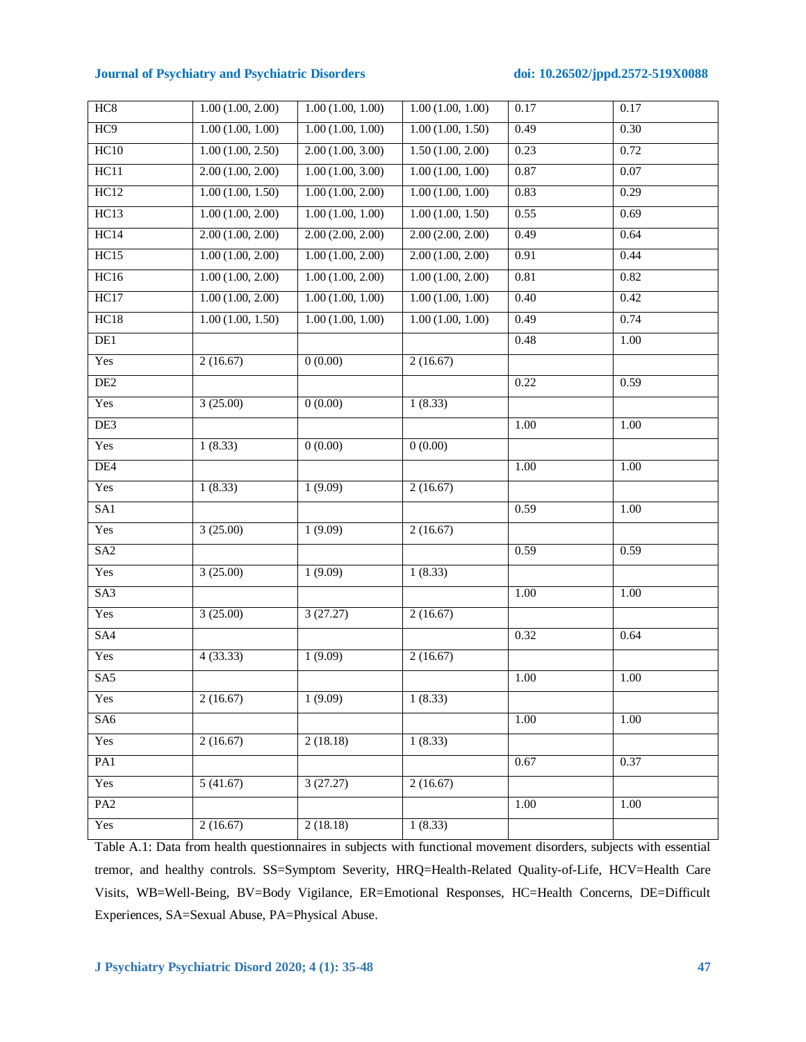| HC8             | 1.00(1.00, 2.00) | 1.00(1.00, 1.00) | 1.00(1.00, 1.00) | 0.17              | 0.17              |
|-----------------|------------------|------------------|------------------|-------------------|-------------------|
| HC <sub>9</sub> | 1.00(1.00, 1.00) | 1.00(1.00, 1.00) | 1.00(1.00, 1.50) | 0.49              | 0.30              |
| HC10            | 1.00(1.00, 2.50) | 2.00(1.00, 3.00) | 1.50(1.00, 2.00) | 0.23              | 0.72              |
| HC11            | 2.00(1.00, 2.00) | 1.00(1.00, 3.00) | 1.00(1.00, 1.00) | 0.87              | 0.07              |
| HC12            | 1.00(1.00, 1.50) | 1.00(1.00, 2.00) | 1.00(1.00, 1.00) | 0.83              | 0.29              |
| HC13            | 1.00(1.00, 2.00) | 1.00(1.00, 1.00) | 1.00(1.00, 1.50) | 0.55              | 0.69              |
| HC14            | 2.00(1.00, 2.00) | 2.00(2.00, 2.00) | 2.00(2.00, 2.00) | 0.49              | 0.64              |
| HC15            | 1.00(1.00, 2.00) | 1.00(1.00, 2.00) | 2.00(1.00, 2.00) | 0.91              | 0.44              |
| HC16            | 1.00(1.00, 2.00) | 1.00(1.00, 2.00) | 1.00(1.00, 2.00) | 0.81              | 0.82              |
| HC17            | 1.00(1.00, 2.00) | 1.00(1.00, 1.00) | 1.00(1.00, 1.00) | 0.40              | 0.42              |
| HC18            | 1.00(1.00, 1.50) | 1.00(1.00, 1.00) | 1.00(1.00, 1.00) | 0.49              | 0.74              |
| DE1             |                  |                  |                  | 0.48              | 1.00              |
| Yes             | 2(16.67)         | 0(0.00)          | 2(16.67)         |                   |                   |
| DE <sub>2</sub> |                  |                  |                  | 0.22              | 0.59              |
| Yes             | 3(25.00)         | 0(0.00)          | 1(8.33)          |                   |                   |
| DE3             |                  |                  |                  | 1.00              | 1.00              |
| Yes             | 1(8.33)          | 0(0.00)          | 0(0.00)          |                   |                   |
| DE4             |                  |                  |                  | $\overline{1.00}$ | $\overline{1.00}$ |
| Yes             | 1(8.33)          | 1(9.09)          | 2(16.67)         |                   |                   |
| SA1             |                  |                  |                  | 0.59              | 1.00              |
| Yes             | 3(25.00)         | 1(9.09)          | 2(16.67)         |                   |                   |
| SA <sub>2</sub> |                  |                  |                  | 0.59              | 0.59              |
| Yes             | 3(25.00)         | 1(9.09)          | 1(8.33)          |                   |                   |
| SA <sub>3</sub> |                  |                  |                  | $\overline{1.00}$ | $\overline{1.00}$ |
| Yes             | 3(25.00)         | 3(27.27)         | 2(16.67)         |                   |                   |
| SA4             |                  |                  |                  | 0.32              | 0.64              |
| Yes             | 4(33.33)         | 1(9.09)          | 2(16.67)         |                   |                   |
| SA5             |                  |                  |                  | 1.00              | 1.00              |
| Yes             | 2(16.67)         | 1(9.09)          | 1(8.33)          |                   |                   |
| SA <sub>6</sub> |                  |                  |                  | 1.00              | 1.00              |
| Yes             | 2(16.67)         | 2(18.18)         | 1(8.33)          |                   |                   |
| PA1             |                  |                  |                  | 0.67              | 0.37              |
| Yes             | 5(41.67)         | 3(27.27)         | 2(16.67)         |                   |                   |
| PA <sub>2</sub> |                  |                  |                  | 1.00              | 1.00              |
| Yes             | 2(16.67)         | 2(18.18)         | 1(8.33)          |                   |                   |
|                 |                  |                  |                  |                   |                   |

Table A.1: Data from health questionnaires in subjects with functional movement disorders, subjects with essential tremor, and healthy controls. SS=Symptom Severity, HRQ=Health-Related Quality-of-Life, HCV=Health Care Visits, WB=Well-Being, BV=Body Vigilance, ER=Emotional Responses, HC=Health Concerns, DE=Difficult Experiences, SA=Sexual Abuse, PA=Physical Abuse.